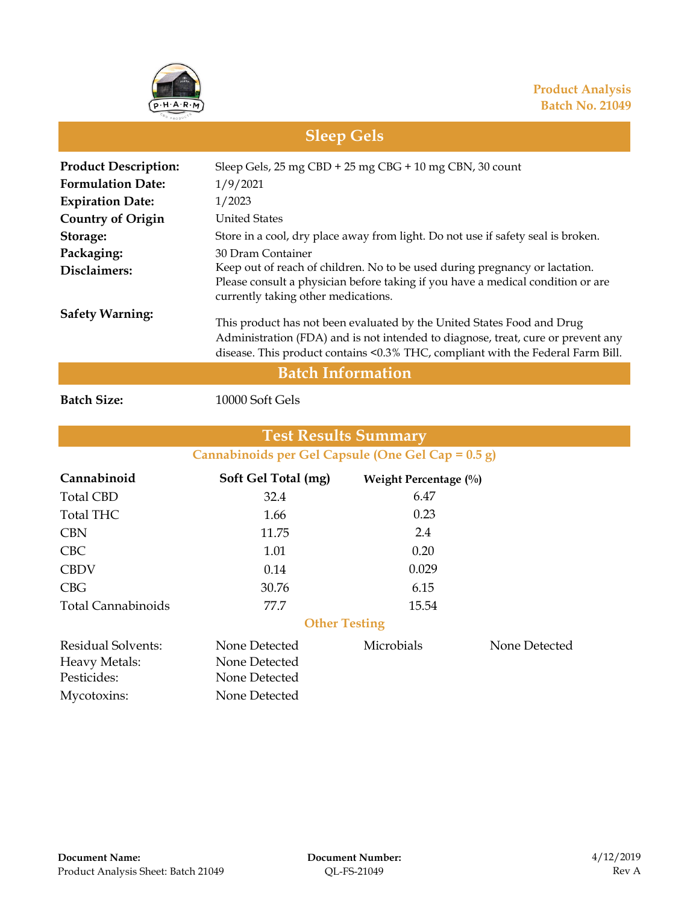

## **Sleep Gels**

| <b>Product Description:</b> | Sleep Gels, 25 mg CBD + 25 mg CBG + 10 mg CBN, 30 count                                                                                                                                                                                       |  |  |  |
|-----------------------------|-----------------------------------------------------------------------------------------------------------------------------------------------------------------------------------------------------------------------------------------------|--|--|--|
| <b>Formulation Date:</b>    | 1/9/2021                                                                                                                                                                                                                                      |  |  |  |
| <b>Expiration Date:</b>     | 1/2023                                                                                                                                                                                                                                        |  |  |  |
| <b>Country of Origin</b>    | <b>United States</b>                                                                                                                                                                                                                          |  |  |  |
| Storage:                    | Store in a cool, dry place away from light. Do not use if safety seal is broken.                                                                                                                                                              |  |  |  |
| Packaging:                  | 30 Dram Container                                                                                                                                                                                                                             |  |  |  |
| Disclaimers:                | Keep out of reach of children. No to be used during pregnancy or lactation.<br>Please consult a physician before taking if you have a medical condition or are<br>currently taking other medications.                                         |  |  |  |
| <b>Safety Warning:</b>      | This product has not been evaluated by the United States Food and Drug<br>Administration (FDA) and is not intended to diagnose, treat, cure or prevent any<br>disease. This product contains <0.3% THC, compliant with the Federal Farm Bill. |  |  |  |
| <b>Batch Information</b>    |                                                                                                                                                                                                                                               |  |  |  |

**Batch Size:** 10000 Soft Gels

#### **Cannabinoids per Gel Capsule (One Gel Cap = 0.5 g) Test Results Summary**

| Cannabinoid               | Soft Gel Total (mg)  | Weight Percentage (%) |               |
|---------------------------|----------------------|-----------------------|---------------|
| <b>Total CBD</b>          | 32.4                 | 6.47                  |               |
| <b>Total THC</b>          | 1.66                 | 0.23                  |               |
| <b>CBN</b>                | 11.75                | 2.4                   |               |
| <b>CBC</b>                | 1.01                 | 0.20                  |               |
| <b>CBDV</b>               | 0.14                 | 0.029                 |               |
| CBG                       | 30.76                | 6.15                  |               |
| <b>Total Cannabinoids</b> | 77.7                 | 15.54                 |               |
|                           | <b>Other Testing</b> |                       |               |
| Residual Solvents:        | None Detected        | Microbials            | None Detected |
| Heavy Metals:             | None Detected        |                       |               |
| Pesticides:               | None Detected        |                       |               |
| Mycotoxins:               | None Detected        |                       |               |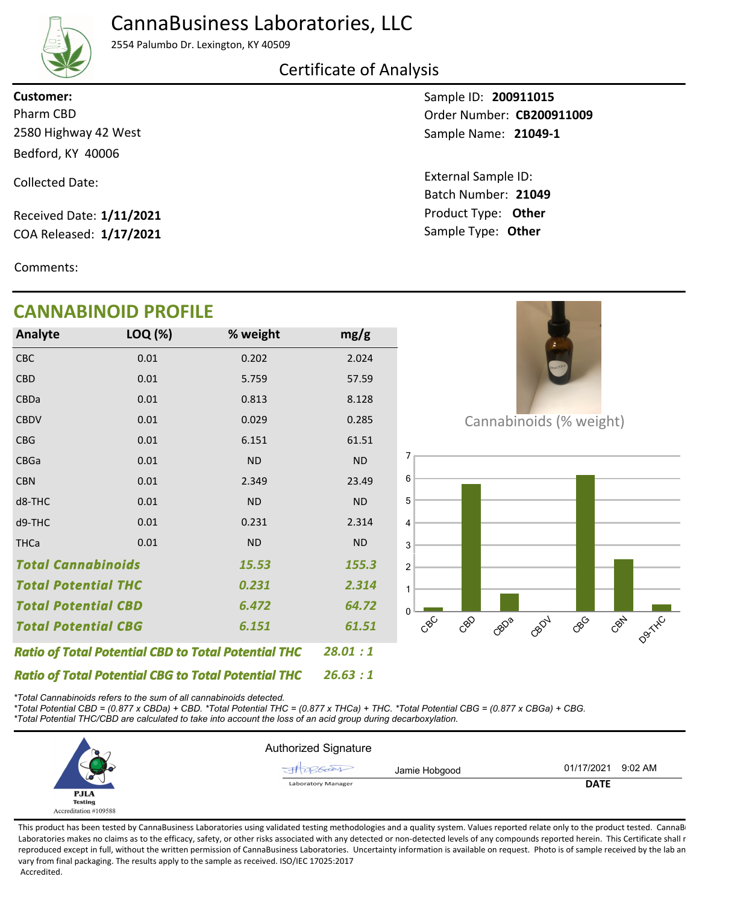# CannaBusiness Laboratories, LLC



2554 Palumbo Dr. Lexington, KY 40509

#### Certificate of Analysis

2580 Highway 42 West Bedford, KY 40006 **Customer:**

Collected Date:

Received Date: **1/11/2021** COA Released: **1/17/2021**

**CANNABINOID PROFILE**

Comments:

Sample ID: **200911015 21049-1** Sample Name: Pharm CBD **CB200911009 CB200911009** 

> Product Type: **Other 21049** Batch Number: External Sample ID: Sample Type: **Other**

| ADINVID FINJI ILL                                          |         |           |           |  |  |
|------------------------------------------------------------|---------|-----------|-----------|--|--|
| Analyte                                                    | LOQ (%) | % weight  | mg/g      |  |  |
| CBC                                                        | 0.01    | 0.202     | 2.024     |  |  |
| <b>CBD</b>                                                 | 0.01    | 5.759     | 57.59     |  |  |
| <b>CBDa</b>                                                | 0.01    | 0.813     | 8.128     |  |  |
| <b>CBDV</b>                                                | 0.01    | 0.029     | 0.285     |  |  |
| <b>CBG</b>                                                 | 0.01    | 6.151     | 61.51     |  |  |
| <b>CBGa</b>                                                | 0.01    | <b>ND</b> | <b>ND</b> |  |  |
| <b>CBN</b>                                                 | 0.01    | 2.349     | 23.49     |  |  |
| d8-THC                                                     | 0.01    | <b>ND</b> | <b>ND</b> |  |  |
| d9-THC                                                     | 0.01    | 0.231     | 2.314     |  |  |
| <b>THCa</b>                                                | 0.01    | <b>ND</b> | <b>ND</b> |  |  |
| <b>Total Cannabinoids</b><br>15.53                         |         |           | 155.3     |  |  |
| Total Potential THC                                        |         | 0.231     | 2.314     |  |  |
| <b>Total Potential CBD</b>                                 |         | 6.472     | 64.72     |  |  |
| <b>Total Potential CBG</b>                                 |         | 6.151     | 61.51     |  |  |
| <b>Ratio of Total Potential CBD to Total Potential THC</b> |         |           | 28.01:1   |  |  |



Cannabinoids (% weight)



*\*Total Cannabinoids refers to the sum of all cannabinoids detected.*

*Ratio of Total Potential CBG to Total Potential THC*

*\*Total Potential CBD = (0.877 x CBDa) + CBD. \*Total Potential THC = (0.877 x THCa) + THC. \*Total Potential CBG = (0.877 x CBGa) + CBG. \*Total Potential THC/CBD are calculated to take into account the loss of an acid group during decarboxylation.*



*26.63 : 1*

This product has been tested by CannaBusiness Laboratories using validated testing methodologies and a quality system. Values reported relate only to the product tested. CannaBi Laboratories makes no claims as to the efficacy, safety, or other risks associated with any detected or non-detected levels of any compounds reported herein. This Certificate shall r reproduced except in full, without the written permission of CannaBusiness Laboratories. Uncertainty information is available on request. Photo is of sample received by the lab an vary from final packaging. The results apply to the sample as received. ISO/IEC 17025:2017 Accredited.